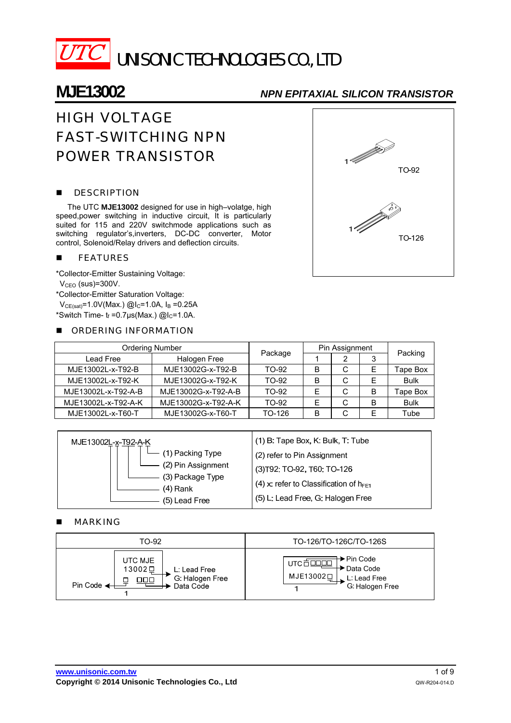

 $\overline{UTC}$  unisonic technologies co., LTD

# **MJE13002** *NPN EPITAXIAL SILICON TRANSISTOR*

# HIGH VOLTAGE FAST-SWITCHING NPN POWER TRANSISTOR

## **DESCRIPTION**

The UTC **MJE13002** designed for use in high–volatge, high speed,power switching in inductive circuit, It is particularly suited for 115 and 220V switchmode applications such as switching regulator's,inverters, DC-DC converter, Motor control, Solenoid/Relay drivers and deflection circuits.

## **FEATURES**

\*Collector-Emitter Sustaining Voltage:  $V<sub>CEO</sub>$  (sus)=300V. \*Collector-Emitter Saturation Voltage:  $V_{CE(sat)} = 1.0V(Max.)$  @I<sub>C</sub>=1.0A, I<sub>B</sub> =0.25A \*Switch Time-  $t_f = 0.7 \mu s(Max.)$  @I<sub>C</sub>=1.0A.

## **DE ORDERING INFORMATION**



| Ordering Number     |                     |         | Pin Assignment |   |   |             |  |
|---------------------|---------------------|---------|----------------|---|---|-------------|--|
| Lead Free           | Halogen Free        | Package |                | っ |   | Packing     |  |
| MJE13002L-x-T92-B   | MJE13002G-x-T92-B   | TO-92   | в              | С |   | Tape Box    |  |
| MJE13002L-x-T92-K   | MJE13002G-x-T92-K   | TO-92   | В              | С |   | <b>Bulk</b> |  |
| MJE13002L-x-T92-A-B | MJE13002G-x-T92-A-B | TO-92   | F              | С | в | Tape Box    |  |
| MJE13002L-x-T92-A-K | MJE13002G-x-T92-A-K | TO-92   | F              | С | В | <b>Bulk</b> |  |
| MJE13002L-x-T60-T   | MJE13002G-x-T60-T   | TO-126  | В              | C |   | Tube        |  |

| MJE13002L-x-T92-A-K          | (1) B: Tape Box, K: Bulk, T: Tube           |
|------------------------------|---------------------------------------------|
| (1) Packing Type             | (2) refer to Pin Assignment                 |
| (2) Pin Assignment           | (3) T92: TO-92, T60: TO-126                 |
| (3) Package Type<br>(4) Rank | (4) x: refer to Classification of $h_{FE1}$ |
| (5) Lead Free                | (5) L: Lead Free, G: Halogen Free           |

## **MARKING**

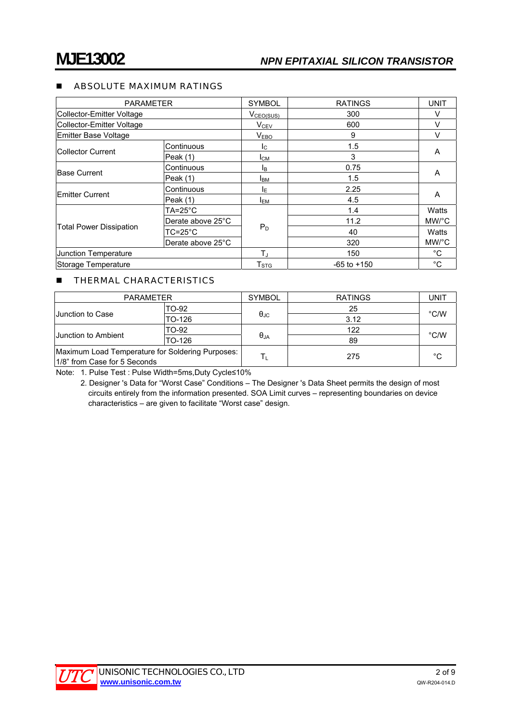## **ABSOLUTE MAXIMUM RATINGS**

| <b>PARAMETER</b>               |                   | <b>SYMBOL</b>    | <b>RATINGS</b>  | <b>UNIT</b>                          |  |
|--------------------------------|-------------------|------------------|-----------------|--------------------------------------|--|
| Collector-Emitter Voltage      |                   | $V_{CEO(SUS)}$   | 300             | v                                    |  |
| Collector-Emitter Voltage      |                   | $V_{CEV}$        | 600             | v                                    |  |
| Emitter Base Voltage           |                   | V <sub>EBO</sub> | 9               | $\vee$                               |  |
|                                | Continuous        | Ic.              | 1.5             |                                      |  |
| Collector Current              | Peak $(1)$        | Iсм              | 3               | A                                    |  |
|                                | Continuous        | Iв               | 0.75            | A                                    |  |
| <b>Base Current</b>            | Peak (1)          | <b>I</b> BM      | 1.5             |                                      |  |
|                                | Continuous        | IΕ               | 2.25            | A                                    |  |
| <b>IEmitter Current</b>        | Peak $(1)$        | Ієм              | 4.5             |                                      |  |
|                                | TA=25°C           |                  | 1.4             | Watts                                |  |
|                                | Derate above 25°C |                  | 11.2            | $MW$ <sup>o</sup> C                  |  |
| <b>Total Power Dissipation</b> | TC=25°C           | $P_D$            | 40              | Watts                                |  |
|                                | Derate above 25°C |                  | 320             | $MW$ <sup><math>\circ</math></sup> C |  |
| Junction Temperature           |                   | $T_J$            | 150             | $^{\circ}$ C                         |  |
| Storage Temperature            |                   | T <sub>STG</sub> | $-65$ to $+150$ | °C                                   |  |

## **THERMAL CHARACTERISTICS**

| <b>PARAMETER</b>                                 |        | <b>SYMBOL</b>     | <b>RATINGS</b> | UNIT |  |
|--------------------------------------------------|--------|-------------------|----------------|------|--|
|                                                  | TO-92  |                   | 25             |      |  |
| <b>Junction to Case</b>                          | TO-126 | $\theta_{\rm JC}$ | 3.12           | °C/W |  |
|                                                  | TO-92  |                   | 122            | °C/W |  |
| <b>Junction to Ambient</b>                       | TO-126 | $\theta_{JA}$     | 89             |      |  |
| Maximum Load Temperature for Soldering Purposes: |        |                   | 275            | °C   |  |
| 1/8" from Case for 5 Seconds                     |        |                   |                |      |  |

Note: 1. Pulse Test : Pulse Width=5ms,Duty Cycle≤10%

2. Designer 's Data for "Worst Case" Conditions – The Designer 's Data Sheet permits the design of most circuits entirely from the information presented. SOA Limit curves – representing boundaries on device characteristics – are given to facilitate "Worst case" design.

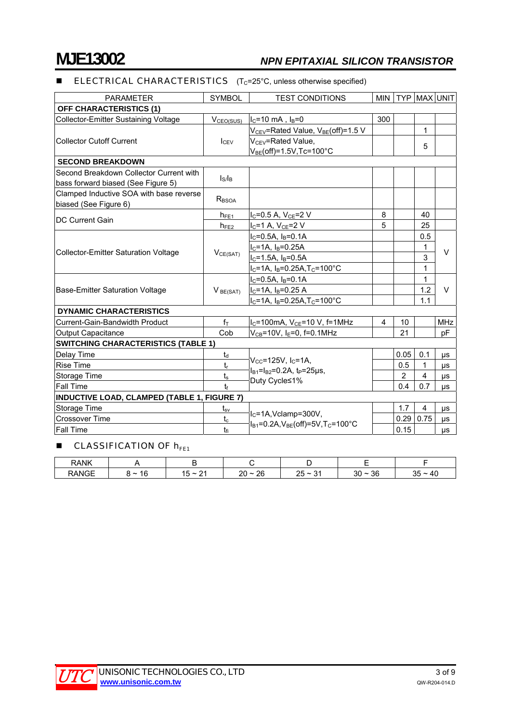# **MJE13002** *NPN EPITAXIAL SILICON TRANSISTOR*

## **ELECTRICAL CHARACTERISTICS**  $(T<sub>C</sub>=25°C, unless otherwise specified)$

| <b>PARAMETER</b>                                   | <b>SYMBOL</b>              | <b>TEST CONDITIONS</b>                                                                  |     | MIN   TYP   MAX UNIT |      |            |  |  |
|----------------------------------------------------|----------------------------|-----------------------------------------------------------------------------------------|-----|----------------------|------|------------|--|--|
| <b>OFF CHARACTERISTICS (1)</b>                     |                            |                                                                                         |     |                      |      |            |  |  |
| <b>Collector-Emitter Sustaining Voltage</b>        | $V_{CEO(SUS)}$             | $I_c$ =10 mA, $I_B$ =0                                                                  | 300 |                      |      |            |  |  |
|                                                    | $I_{CEV}$                  | V <sub>CEV</sub> =Rated Value, V <sub>BE</sub> (off)=1.5 V                              |     |                      | 1    |            |  |  |
| <b>Collector Cutoff Current</b>                    |                            | V <sub>CEV</sub> =Rated Value,                                                          |     |                      | 5    |            |  |  |
|                                                    |                            | $V_{BE}(off)=1.5V$ ,Tc=100°C                                                            |     |                      |      |            |  |  |
| <b>SECOND BREAKDOWN</b>                            |                            |                                                                                         |     |                      |      |            |  |  |
| Second Breakdown Collector Current with            |                            |                                                                                         |     |                      |      |            |  |  |
| bass forward biased (See Figure 5)                 | I <sub>S</sub> /B          |                                                                                         |     |                      |      |            |  |  |
| Clamped Inductive SOA with base reverse            |                            |                                                                                         |     |                      |      |            |  |  |
| biased (See Figure 6)                              | R <sub>BSOA</sub>          |                                                                                         |     |                      |      |            |  |  |
| <b>DC Current Gain</b>                             | $h_{FE1}$                  | $I_C = 0.5$ A, $V_{CE} = 2$ V                                                           |     |                      | 40   |            |  |  |
|                                                    | $h_{FE2}$                  | $I_C=1$ A, $V_{CE}=2$ V                                                                 | 5   |                      | 25   |            |  |  |
|                                                    |                            | $I_C = 0.5A$ , $I_B = 0.1A$                                                             |     |                      | 0.5  |            |  |  |
| <b>Collector-Emitter Saturation Voltage</b>        |                            | $I_C = 1A$ , $I_B = 0.25A$                                                              |     |                      |      | $\vee$     |  |  |
|                                                    | $V_{CE(SAT)}$              | $I_C = 1.5A$ , $I_B = 0.5A$                                                             |     |                      | 3    |            |  |  |
|                                                    |                            | $I_C = 1A$ , $I_B = 0.25A$ , $T_C = 100^{\circ}C$                                       |     |                      | 1    |            |  |  |
|                                                    |                            | $I_C = 0.5A$ , $I_B = 0.1A$                                                             |     |                      | 1    |            |  |  |
| Base-Emitter Saturation Voltage                    | $V_{BE(SAT)}$              | I <sub>C</sub> =1A, I <sub>B</sub> =0.25 A                                              |     |                      | 1.2  | $\vee$     |  |  |
|                                                    |                            | $I_C = 1A$ , $I_B = 0.25A$ , $T_C = 100^{\circ}C$                                       |     |                      | 1.1  |            |  |  |
| <b>DYNAMIC CHARACTERISTICS</b>                     |                            |                                                                                         |     |                      |      |            |  |  |
| Current-Gain-Bandwidth Product                     | $f_T$                      | $I_C = 100$ mA, $V_{CE} = 10 V$ , f = 1MHz                                              | 4   | 10                   |      | <b>MHz</b> |  |  |
| <b>Output Capacitance</b>                          | Cob                        | $V_{CB} = 10V$ , I <sub>E</sub> =0, f=0.1MHz                                            |     | 21                   |      | рF         |  |  |
| <b>SWITCHING CHARACTERISTICS (TABLE 1)</b>         |                            |                                                                                         |     |                      |      |            |  |  |
| Delay Time                                         | $t_d$                      |                                                                                         |     | 0.05                 | 0.1  | μs         |  |  |
| <b>Rise Time</b>                                   | $t_r$                      | $V_{CC}$ =125V, I <sub>C</sub> =1A,                                                     |     | 0.5                  | 1    | μs         |  |  |
| Storage Time                                       | $t_{\rm s}$                | $I_{B1}$ = $I_{B2}$ =0.2A, t <sub>P</sub> =25µs,                                        |     | $\overline{2}$       | 4    | μs         |  |  |
| <b>Fall Time</b>                                   | tr                         | Duty Cycle≤1%                                                                           |     | 0.4                  | 0.7  | μs         |  |  |
| <b>INDUCTIVE LOAD, CLAMPED (TABLE 1, FIGURE 7)</b> |                            |                                                                                         |     |                      |      |            |  |  |
| Storage Time                                       | $\mathsf{t}_{\mathsf{sv}}$ |                                                                                         |     | 1.7                  | 4    | μs         |  |  |
| <b>Crossover Time</b>                              | $t_c$                      | $IC=1A$ , Vclamp=300V,<br>$I_{B1} = 0.2A$ , $V_{BE}$ (off) = 5V, T <sub>C</sub> = 100°C |     | 0.29                 | 0.75 | μs         |  |  |
| <b>Fall Time</b>                                   | $t_{fi}$                   |                                                                                         |     | 0.15                 |      | μs         |  |  |

## $\blacksquare$  CLASSIFICATION OF  $h_{FE1}$

| RANK  |         |                            |              |                      |                    |                      |
|-------|---------|----------------------------|--------------|----------------------|--------------------|----------------------|
| RANGE | 16<br>- | $\sim$<br>15 ~<br><u>_</u> | 26<br>$20 -$ | つに<br>n,<br>ັ<br>ں ے | 36<br>30<br>$\sim$ | っに<br>40.<br>.<br>ບບ |

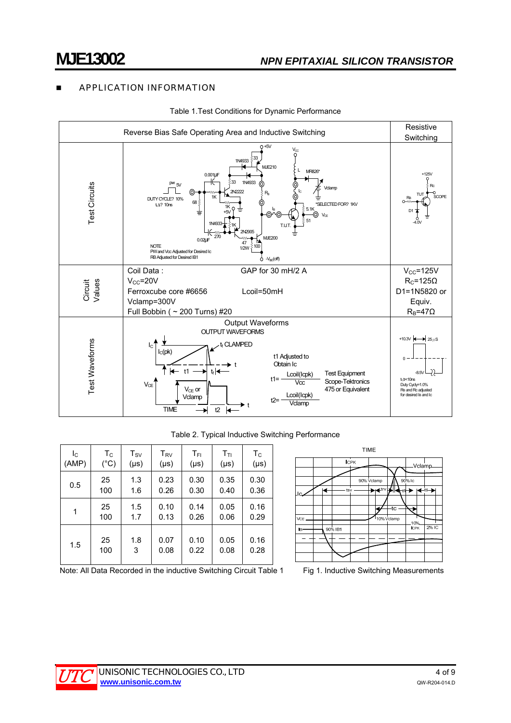## APPLICATION INFORMATION



Table 1.Test Conditions for Dynamic Performance

| $I_{\rm C}$ | $T_{\rm C}$   | ${\sf T}_{\sf SV}$ | $T_{\mathsf{RV}}$ | $T_{\rm FI}$ | $T_{\rm TI}$ | $T_{\rm C}$ |
|-------------|---------------|--------------------|-------------------|--------------|--------------|-------------|
| (AMP)       | $(^{\circ}C)$ | $(\mu s)$          | $(\mu s)$         | $(\mu s)$    | $(\mu s)$    | $(\mu s)$   |
| 0.5         | 25            | 1.3                | 0.23              | 0.30         | 0.35         | 0.30        |
|             | 100           | 1.6                | 0.26              | 0.30         | 0.40         | 0.36        |
| 1           | 25            | 1.5                | 0.10              | 0.14         | 0.05         | 0.16        |
|             | 100           | 1.7                | 0.13              | 0.26         | 0.06         | 0.29        |
| 1.5         | 25            | 1.8                | 0.07              | 0.10         | 0.05         | 0.16        |
|             | 100           | 3                  | 0.08              | 0.22         | 0.08         | 0.28        |



Note: All Data Recorded in the inductive Switching Circuit Table 1 Fig 1. Inductive Switching Measurements



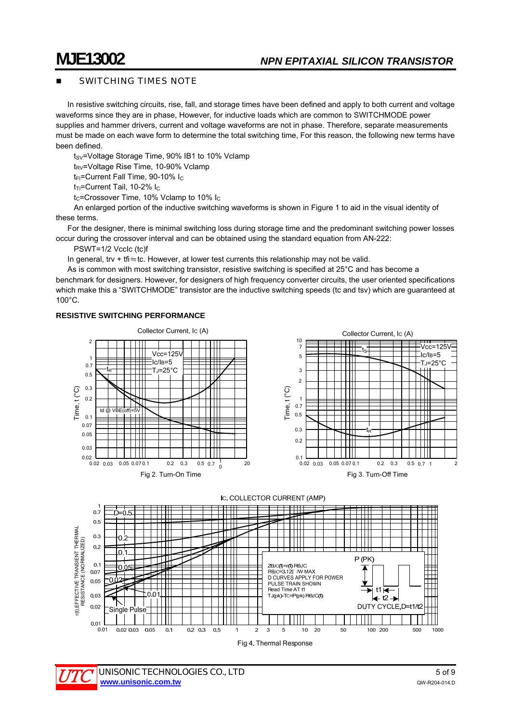## SWITCHING TIMES NOTE

In resistive switching circuits, rise, fall, and storage times have been defined and apply to both current and voltage waveforms since they are in phase, However, for inductive loads which are common to SWITCHMODE power supplies and hammer drivers, current and voltage waveforms are not in phase. Therefore, separate measurements must be made on each wave form to determine the total switching time, For this reason, the following new terms have been defined.

t<sub>SV</sub>=Voltage Storage Time, 90% IB1 to 10% Vclamp

t<sub>RV</sub>=Voltage Rise Time, 10-90% Vclamp

 $t_F =$ Current Fall Time, 90-10%  $I_C$ 

 $t_T$ =Current Tail, 10-2% Ic

 $t<sub>C</sub>=C$ rossover Time, 10% Vclamp to 10%  $I<sub>C</sub>$ 

An enlarged portion of the inductive switching waveforms is shown in Figure 1 to aid in the visual identity of these terms.

For the designer, there is minimal switching loss during storage time and the predominant switching power losses occur during the crossover interval and can be obtained using the standard equation from AN-222:

PSWT=1/2 VccIc (tc)f

In general, trv + tfi≒ tc. However, at lower test currents this relationship may not be valid.

As is common with most switching transistor, resistive switching is specified at 25°C and has become a benchmark for designers. However, for designers of high frequency converter circuits, the user oriented specifications which make this a "SWITCHMODE" transistor are the inductive switching speeds (tc and tsv) which are guaranteed at 100°C.

## **RESISTIVE SWITCHING PERFORMANCE**



Fig 4. Thermal Response

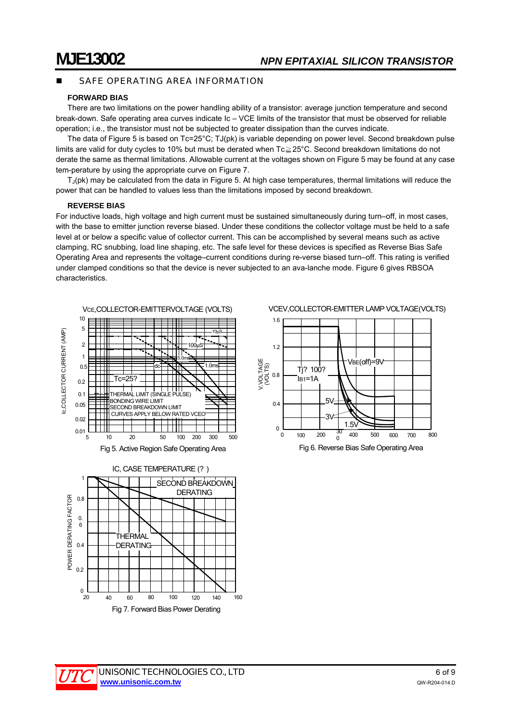## **SAFE OPERATING AREA INFORMATION**

## **FORWARD BIAS**

There are two limitations on the power handling ability of a transistor: average junction temperature and second break-down. Safe operating area curves indicate Ic – VCE limits of the transistor that must be observed for reliable operation; i.e., the transistor must not be subjected to greater dissipation than the curves indicate.

The data of Figure 5 is based on Tc=25°C; TJ(pk) is variable depending on power level. Second breakdown pulse limits are valid for duty cycles to 10% but must be derated when Tc 25 ≧ °C. Second breakdown limitations do not derate the same as thermal limitations. Allowable current at the voltages shown on Figure 5 may be found at any case tem-perature by using the appropriate curve on Figure 7.

 $T_J$ (pk) may be calculated from the data in Figure 5. At high case temperatures, thermal limitations will reduce the power that can be handled to values less than the limitations imposed by second breakdown.

## **REVERSE BIAS**

For inductive loads, high voltage and high current must be sustained simultaneously during turn–off, in most cases, with the base to emitter junction reverse biased. Under these conditions the collector voltage must be held to a safe level at or below a specific value of collector current. This can be accomplished by several means such as active clamping, RC snubbing, load line shaping, etc. The safe level for these devices is specified as Reverse Bias Safe Operating Area and represents the voltage–current conditions during re-verse biased turn–off. This rating is verified under clamped conditions so that the device is never subjected to an ava-lanche mode. Figure 6 gives RBSOA characteristics.



VCEV,COLLECTOR-EMITTER LAMP VOLTAGE(VOLTS)

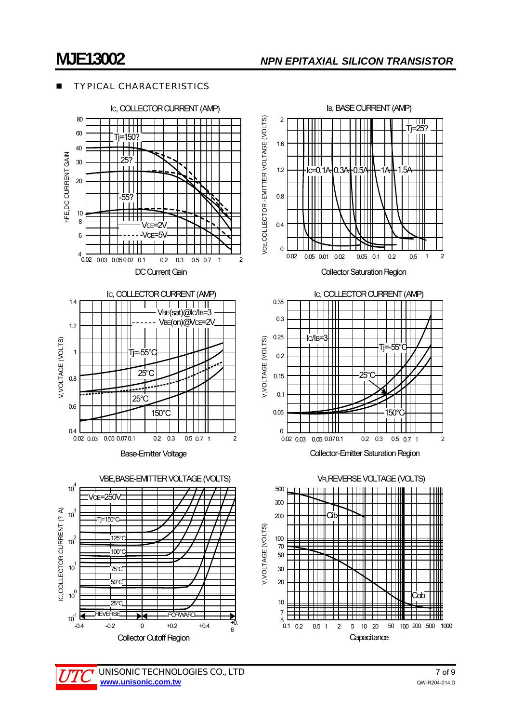## TYPICAL CHARACTERISTICS

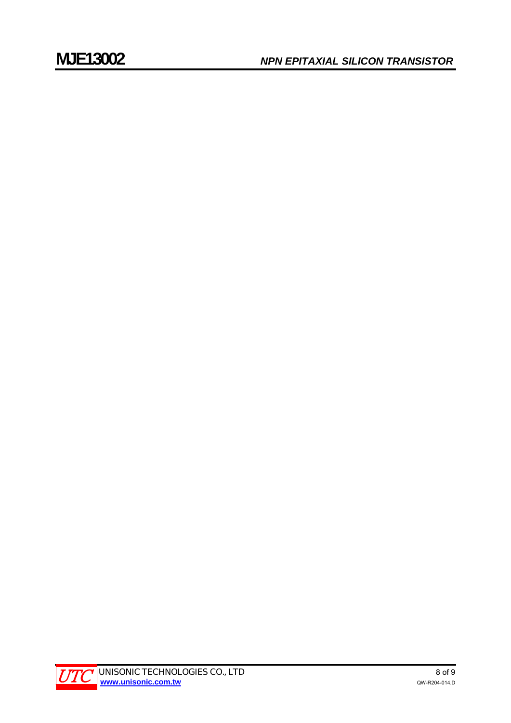![](_page_7_Picture_2.jpeg)